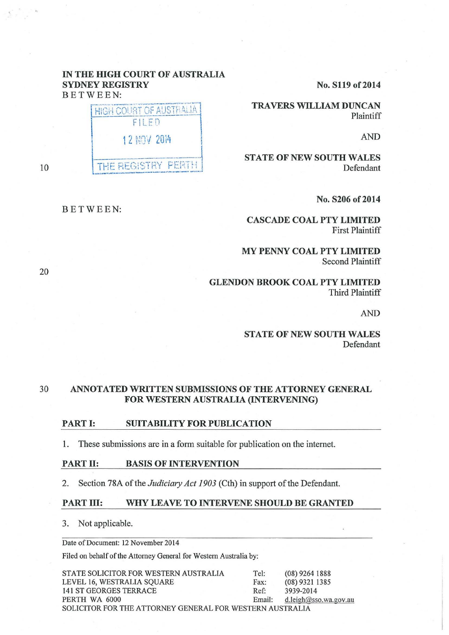# IN THE HIGH COURT OF AUSTRALIA SYDNEY REGISTRY BETWEEN:



10

# BETWEEN:

No. S119 of 2014

TRAVERS WILLIAM DUNCAN Plaintiff

AND

STATE OF NEW SOUTH WALES Defendant

No. S206 of 2014

CASCADE COAL PTY LIMITED First Plaintiff

MY PENNY COAL PTY LIMITED Second Plaintiff

GLENDON BROOK COAL PTY LIMITED Third Plaintiff

AND

STATE OF NEW SOUTH WALES Defendant

# 30 ANNOTATED WRITTEN SUBMISSIONS OF THE ATTORNEY GENERAL FOR WESTERN AUSTRALIA (INTERVENING)

#### PART I: SUITABILITY FOR PUBLICATION

1. These submissions are in a form suitable for publication on the internet.

## PART II: BASIS OF INTERVENTION

2. Section 78A of the *Judiciary Act 1903* (Cth) in support of the Defendant.

### PART III: WHY LEAVE TO INTERVENE SHOULD BE GRANTED

3. Not applicable.

Date of Document: 12 November 2014

Filed on behalf of the Attorney General for Western Australia by:

STATE SOLICITOR FOR WESTERN AUSTRALIA Tel: (08) 9264 1888 LEVEL 16, WESTRALIA SQUARE Fax: (08) 9321 1385 141 ST GEORGES TERRACE Ref: 3939-2014 PERTH WA 6000 Email: d.leigh@sso.wa.gov.au SOLICITOR FOR THE ATTORNEY GENERAL FOR WESTERN AUSTRALIA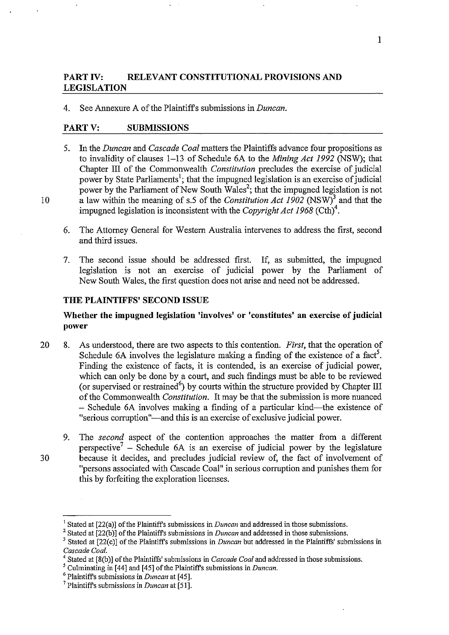# **PART IV: RELEVANT CONSTITUTIONAL PROVISIONS AND LEGISLATION**

4. See Annexure A of the Plaintiffs submissions in *Duncan.* 

## **PARTY: SUBMISSIONS**

- 5. In the *Duncan* and *Cascade Coal* matters the Plaintiffs advance four propositions as to invalidity of clauses 1-13 of Schedule 6A to the *Mining Act 1992* (NSW); that Chapter III of the Commonwealth *Constitution* precludes the exercise of judicial power by State Parliaments<sup>1</sup>; that the impugned legislation is an exercise of judicial power by the Parliament of New South Wales<sup>2</sup>; that the impugned legislation is not 10 a law within the meaning of s.5 of the *Constitution Act 1902* (NSW)3 and that the impugned legislation is inconsistent with the *Copyright Act 1968* (Cth)<sup>4</sup>.
	- 6. The Attorney General for Western Australia intervenes to address the first, second and third issues.
	- 7. The second issue should be addressed first. If, as submitted, the impugned legislation is not an exercise of judicial power by the Parliament of New South Wales, the first question does not arise and need not be addressed.

### **THE PLAINTIFFS' SECOND ISSUE**

# **Whether the impugned legislation 'involves' or 'constitutes' an exercise of judicial power**

- 20 8. As understood, there are two aspects to this contention. *First,* that the operation of Schedule 6A involves the legislature making a finding of the existence of a fact<sup>5</sup>. Finding the existence of facts, it is contended, is an exercise of judicial power, which can only be done by a court, and such findings must be able to be reviewed (or supervised or restrained<sup>6</sup>) by courts within the structure provided by Chapter III of the Commonwealth *Constitution.* It may be that the submission is more nuanced - Schedule 6A involves making a finding of a particular kind-the existence of "serious corruption"—and this is an exercise of exclusive judicial power.
- 9. The *second* aspect of the contention approaches the matter from a different perspective<sup>7</sup> – Schedule 6A is an exercise of judicial power by the legislature 30 because it decides, and precludes judicial review of, the fact of involvement of "persons associated with Cascade Coal" in serious corruption and punishes them for this by forfeiting the exploration licenses.

<sup>1</sup>Stated at [22(a)] of the Plaintiffs submissions in *Duncan* and addressed in those submissions.

<sup>2</sup> Stated at [22(b)] of the Plaintiffs submissions in *Duncan* and addressed in those submissions.

<sup>&</sup>lt;sup>3</sup> Stated at [22(c)] of the Plaintiffs submissions in *Duncan* but addressed in the Plaintiffs' submissions in *Cascade Coal.* 

*<sup>4</sup>*Stated at [8(b)] of the Plaintiffs' submissions in *Cascade Coal* and addressed in those submissions.

*<sup>5</sup>*Culminating in [44] and [45] ofthe Plaintiffs submissions in *Duncan.* 6 Plaintiffs submissions in *Duncan* at [45]. 7 Plaintiffs submissions in *Duncan* at [51].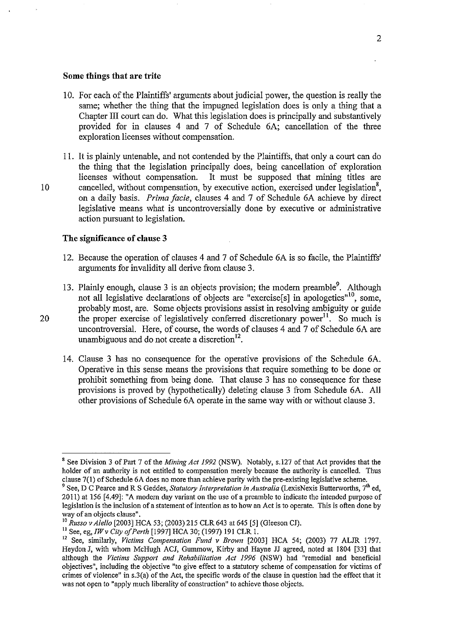#### **Some things that are trite**

- 10. For each of the Plaintiffs' arguments about judicial power, the question is really the same; whether the thing that the impugned legislation does is only a thing that a Chapter III court can do. What this legislation does is principally and substantively provided for in clauses 4 and 7 of Schedule 6A; cancellation of the three exploration licenses without compensation.
- 11. It is plainly untenable, and not contended by the Plaintiffs, that only a court can do the thing that the legislation principally does, being cancellation of exploration licenses without compensation. It must be supposed that mining titles are It must be supposed that mining titles are 10 cancelled, without compensation, by executive action, exercised under legislation<sup>8</sup>, on a daily basis. *Prima facie,* clauses 4 and 7 of Schedule 6A achieve by direct legislative means what is uncontroversially done by executive or administrative action pursuant to legislation.

### **The significance of clause 3**

- 12. Because the operation of clauses 4 and 7 of Schedule 6A is so facile, the Plaintiffs' arguments for invalidity all derive from clause 3.
- 13. Plainly enough, clause 3 is an objects provision; the modern preamble<sup>9</sup>. Although not all legislative declarations of objects are "exercise[s] in apologetics"<sup>10</sup>, some, probably most, are. Some objects provisions assist in resolving ambiguity or guide 20 the proper exercise of legislatively conferred discretionary power<sup>11</sup>. So much is uncontroversial. Here, of course, the words of clauses 4 and 7 of Schedule 6A are unambiguous and do not create a discretion $12$ .
	- 14. Clause 3 has no consequence for the operative provisions of the Schedule 6A. Operative in this sense means the provisions that require something to be done or prohibit something from being done. That clause 3 has no consequence for these provisions is proved by (hypothetically) deleting clause 3 from Schedule 6A. All other provisions of Schedule 6A operate in the same way with or without clause 3.

<sup>8</sup> See Division 3 of Part 7 of the *Mining Act 1992* (NSW). Notably, s.127 of that Act provides that the holder of an authority is not entitled to compensation merely because the authority is cancelled. Thus clause 7(1) of Schedule 6A does no more than achieve parity with the pre-existing legislative scheme.

<sup>&</sup>lt;sup>9</sup> See, D C Pearce and R S Geddes, *Statutory Interpretation in Australia* (LexisNexis Butterworths, 7<sup>th</sup> ed, 2011) at 156 [4.49]: "A modem day variant on the usc of a preamble to indicate the intended purpose of legislation is the inclusion of a statement of intention as to how an Act is to operate. This is often done by way of an objects clause".<br><sup>10</sup> Russo v Alello [2003] HCA 53; (2003) 215 CLR 643 at 645 [5] (Gleeson CJ).

<sup>&</sup>lt;sup>11</sup> See, eg, IW v City of Perth [1997] HCA 30; (1997) 191 CLR 1.<br><sup>12</sup> See, similarly, Victims Compensation Fund v Brown [2003] HCA 54; (2003) 77 ALJR 1797. HeydonJ, with whom McHugb ACJ, Gummow, Kirby and Hayne JJ agreed, noted at 1804 [33] that although the *Victims Support and Rehabilitation Act 1996* (NSW) had "remedial and beneficial objectives", including the objective "to give effect to a statutory scheme of compensation for victims of crimes of violence" in s.3(a) of the Act, the specific words of the clause in question had the effect that it was not open to "apply much liberality of construction" to achieve those objects.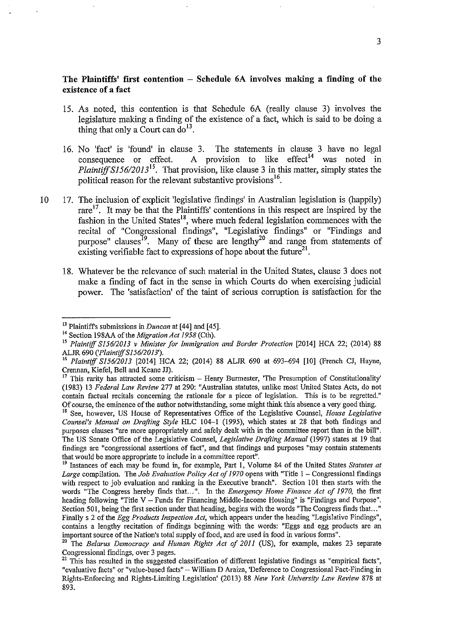# **The Plaintiffs' first contention - Schedule 6A involves making a finding of the existence of a fact**

- 15. As noted, this contention is that Schedule 6A (really clause 3) involves the legislature making a fmding of the existence of a fact, which is said to be doing a thing that only a Court can  $do<sup>13</sup>$ .
- 16. No 'fact' is 'found' in clause 3. The statements in clause 3 have no legal consequence or effect. A provision to like effect<sup>14</sup> was noted in *Plaintiff S156/2013*<sup>15</sup>. That provision, like clause 3 in this matter, simply states the political reason for the relevant substantive provisions<sup>16</sup>.
- 10 17. The inclusion of explicit 'legislative findings' in Australian legislation is (happily) rare<sup>17</sup>. It may be that the Plaintiffs' contentions in this respect are inspired by the fashion in the United States<sup>18</sup>, where much federal legislation commences with the recital of "Congressional findings", "Legislative findings" or "Findings and purpose" clauses<sup>19</sup>. Many of these are lengthy<sup>20</sup> and range from statements of existing verifiable fact to expressions of hope about the future<sup>21</sup>.
	- 18. Whatever be the relevance of such material in the United States, clause 3 does not make a finding of fact in the sense in which Courts do when exercising judicial power. The 'satisfaction' of the taint of serious corruption is satisfaction for the

<sup>18</sup> See, however, US House of Representatives Office of the Legislative Counsel, *House Legislative Counsel's Manual on Drafting Style* HLC 104-1 (1995), which states at 28 that both findings and purposes clauses "are more appropriately and safely dealt with in the committee report than in the bill". The US Senate Office of the Legislative Counsel, *Legislative Drafting Manual* (1997) states at 19 that findings are "congressional assertions of fact", and that findings and purposes "may contain statements that would be more appropriate to include in a committee report".

<sup>&</sup>lt;sup>13</sup> Plaintiff's submissions in *Duncan* at [44] and [45].<br><sup>14</sup> Section 198AA of the *Migration Act 1958* (Cth).

<sup>&</sup>lt;sup>15</sup> Plaintiff S156/2013 v Minister for Immigration and Border Protection [2014] HCA 22; (2014) 88 ALJR 690 *('PlaintiffSI56/2013').* 

<sup>&</sup>lt;sup>16</sup> Plaintiff S156/2013 [2014] HCA 22; (2014) 88 ALJR 690 at 693-694 [10] (French CJ, Hayne, Crennan, Kiefel, Bell and Keane JJ).

This rarity has attracted some criticism - Henry Burmester, 'The Presumption of Constitutionality' (1983) 13 *Federal Law Review* 277 at 290: "Australian statutes, unlike most United States Acts, do not contain factual recitals concerning the rationale for a piece of legislation. This is to be regretted." Of course, the eminence ofthe author notwithstanding, some might think this absence a very good thing.

<sup>19</sup> Instances of each may be found in, for example, Part I, Volume 84 of the United States *Statutes at Large* compilation. The *Job Evaluation Policy Act of 1970* opens with "Title 1 - Congressional fmdings with respect to job evaluation and ranking in the Executive branch". Section 101 then starts with the words "The Congress hereby finds that...". In the *Emergency Home Finance Act of 1970,* the frrst heading following "Title V- Funds for Financing Middle-Income Housing" is "Findings and Purpose". Section 501, being the first section under that heading, begins with the words "The Congress finds that..." Finally s 2 of the *Egg Products Inspection Act,* which appears under the heading "Legislative Findings", contains a lengthy recitation of findings beginning with the words: "Eggs and egg products are an important source of the Nation's total supply of food, and are used in food in various forms".

The Belarus Democracy and Human Rights Act of 2011 (US), for example, makes 23 separate **Congressional f'mdings, over 3 pages.** 

<sup>&</sup>lt;sup>21</sup> This has resulted in the suggested classification of different legislative findings as "empirical facts", **"evaluative facts" or "value-based facts"- William D Araiza, 'Deference to Congressional Fact-Finding in**  Rights-Enforcing and Rights-Limiting Legislation' (2013) 88 *New York University Law Review* 878 at 893.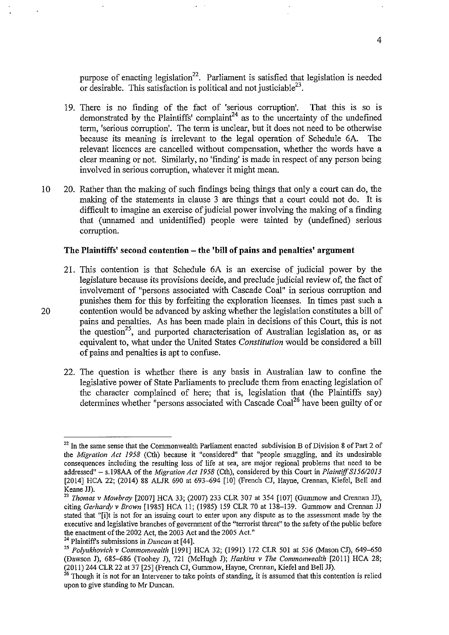purpose of enacting legislation<sup>22</sup>. Parliament is satisfied that legislation is needed or desirable. This satisfaction is political and not justiciable<sup>23</sup>.

- 19. There is no finding of the fact of 'serious corruption'. That this is so is demonstrated by the Plaintiffs' complaint<sup>24</sup> as to the uncertainty of the undefined term, 'serious corruption'. The term is unclear, but it does not need to be otherwise because its meaning is irrelevant to the legal operation of Schedule 6A. The relevant licences are cancelled without compensation, whether the words have a clear meaning or not. Similarly, no 'fmding' is made in respect of any person being involved in serious corruption, whatever it might mean.
- l 0 20. Rather than the making of such findings being things that only a court can do, the making of the statements in clause 3 are things that a court could not do. It is difficult to imagine an exercise of judicial power involving the making of a finding that (unnamed and unidentified) people were tainted by (undefined) serious corruption.

### **The Plaintiffs' second contention- the 'bill of pains and penalties' argnment**

- 21. This contention is that Schedule 6A is an exercise of judicial power by the legislature because its provisions decide, and preclude judicial review of, the fact of involvement of "persons associated with Cascade Coal" in serious corruption and punishes them for this by forfeiting the exploration licenses. In times past such a 20 contention would be advanced by asking whether the legislation constitutes a bill of pains and penalties. As has been made plain in decisions of this Court, this is not the question<sup>25</sup>, and purported characterisation of Australian legislation as, or as equivalent to, what under the United States *Constitution* would be considered a bill of pains and penalties is apt to confuse.
	- 22. The question is whether there is any basis in Australian law to confine the legislative power of State Parliaments to preclude them from enacting legislation of the character complained of here; that is, legislation that (the Plaintiffs say) determines whether "persons associated with Cascade Coal<sup>26</sup> have been guilty of or

 $22$  In the same sense that the Commonwealth Parliament enacted subdivision B of Division 8 of Part 2 of the *Migration Act 1958* (Cth) because it "considered" that "people smuggling, and its undesirable consequences including the resulting loss of life at sea, are major regional problems that need to be addressed" - s.198AA of the *Migration Act 1958* (Cth), considered by this Court in *Plaintiff S156/2013* [2014] HCA 22; (2014) 88 ALJR 690 at 693-694 [10] (French CJ, Hayne, Crennan, Kiefel, Bell and Keane JJ).

<sup>&</sup>lt;sup>23</sup> Thomas v Mowbray [2007] HCA 33; (2007) 233 CLR 307 at 354 [107] (Gummow and Crennan JJ), citing *Gerhardy v Brown* [1985] HCA II; (1985) 159 CLR 70 at 138-139. Gummow and Crennan JJ stated that "[i]t is not for an issuing court to enter upon any dispute as to the assessment made by the executive and legislative branches of government of the "terrorist threat" to the safety of the public before the enactment of the 2002 Act, the 2003 Act and the 2005 Act." 24 Plaintiffs submissions in *Duncan* at [44].

<sup>&</sup>lt;sup>25</sup> Polyukhovich v Commonwealth [1991] HCA 32; (1991) 172 CLR 501 at 536 (Mason CJ), 649-650 (Dawson J), 685-686 (Toohey J), 721 (McHugh J); *Haskins v The Commonwealth* [2011] HCA 28; (2011) 244 CLR 22 at 37 [25] (French CJ, Gummow, Hayne, Crennan, Kiefel and Bell JJ).<br><sup>26</sup> Though it is not for an Intervener to take points of standing, it is assumed that this contention is relied

upon to give standing to Mr Duncan.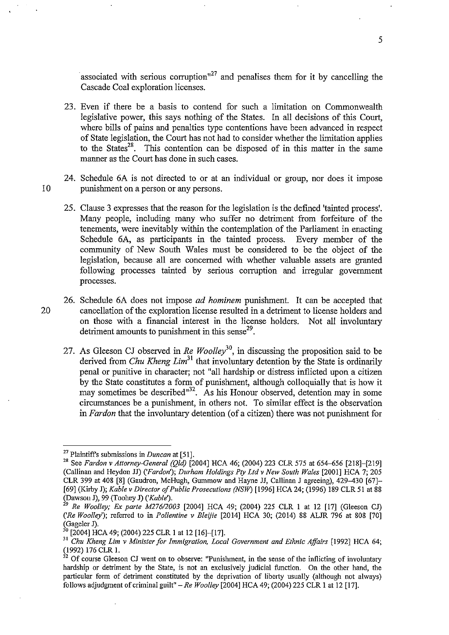associated with serious corruption<sup> $n^2$ </sup> and penalises them for it by cancelling the Cascade Coal exploration licenses.

- 23. Even if there be a basis to contend for such a limitation on Commonwealth legislative power, this says nothing of the States. In all decisions of this Court, where bills of pains and penalties type contentions have been advanced in respect of State legislation, the Court has not had to consider whether the limitation applies to the States<sup>28</sup>. This contention can be disposed of in this matter in the same manner as the Court has done in such cases.
- 24. Schedule 6A is not directed to or at an individual or group, nor does it impose 10 punishment on a person or any persons.
	- 25. Clause 3 expresses that the reason for the legislation is the defmed 'tainted process'. Many people, including many who suffer no detriment from forfeiture of the tenements, were inevitably within the contemplation of the Parliament in enacting Schedule 6A, as participants in the tainted process. Every member of the Schedule 6A, as participants in the tainted process. community of New South Wales must be considered to be the object of the legislation, because all are concerned with whether valuable assets are granted following processes tainted by serious corruption and irregular government processes.

26. Schedule 6A does not impose *ad hominem* punishment. It can be accepted that 20 cancellation of the exploration license resulted in a detriment to license holders and on those with a fmancial interest in the license holders. Not all involuntary detriment amounts to punishment in this sense $^{29}$ .

27. As Gleeson CJ observed in *Re Woolley*<sup>30</sup>, in discussing the proposition said to be derived from *Chu Kheng Lim*<sup>31</sup> that involuntary detention by the State is ordinarily penal or punitive in character; not "all hardship or distress inflicted upon a citizen by the State constitutes a form of punishment, although colloquially that is how it may sometimes be described<sup>132</sup>. As his Honour observed, detention may in some circumstances be a punishment, in others not. To similar effect is the observation in *Fardon* that the involuntary detention (of a citizen) there was not punishment for

<sup>&</sup>lt;sup>27</sup> Plaintiff's submissions in *Duncan* at [51].<br><sup>28</sup> See *Fardon v Attorney-General (Qld)* [2004] HCA 46; (2004) 223 CLR 575 at 654–656 [218]–[219] (Callinan and Heydon JJ) *('Fardon'); Durham Holdings Pty Ltd v New South Wales* [2001] HCA 7; 205 CLR 399 at 408 [8] (Gaudron, McHugh, Gummow and Hayne JJ, Callinan J agreeing), 429-430 [67]- [69] (Kirby J); *Kable v Director of Public Prosecutions (NSW)* [1996] HCA 24; (1996) 189 CLR 51 at 88 (Dawson J), 99 (Toohey J) *('Kable').* 

<sup>29</sup>*Re Woolley;* Ex *parte M276/2003* [2004] HCA 49; (2004) 225 CLR I at 12 [17] (Gleeson CJ) *('Re Woolley');* referred to in *Pollentine v Bleijie* [2014] HCA 30; (2014) 88 ALJR 796 at 808 [70] (Gageler J).

 $\frac{30}{20}$ [2004] HCA 49; (2004) 225 CLR 1 at 12 [16]-[17].

<sup>&</sup>lt;sup>31</sup> Chu Kheng Lim v Minister for Immigration, Local Government and Ethnic Affairs [1992] HCA 64; (1992) 176 CLR I.

 $32$  Of course Gleeson CJ went on to observe: "Punishment, in the sense of the inflicting of involuntary hardship or detriment by the State, is not an exclusively judicial function. On the other hand, the particular form of detriment constituted by the deprivation of liberty usually (although not always) follows ad judgment of criminal guilt"- *Re Woolley* [2004] HCA 49; (2004) 225 CLR I at 12 [17].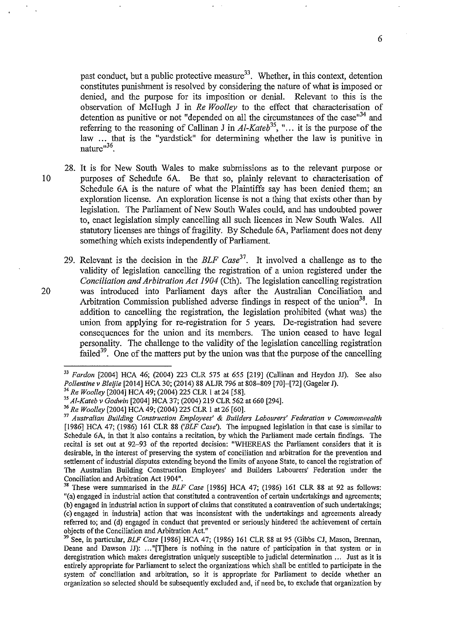past conduct, but a public protective measure $33$ . Whether, in this context, detention constitutes punishment is resolved by considering the nature of what is imposed or denied, and the purpose for its imposition or denial. Relevant to this is the observation of McHugh J in *Re Woolley* to the effect that characterisation of detention as punitive or not "depended on all the circumstances of the case"<sup>34</sup> and referring to the reasoning of Callinan J in  $Al-Kateb^{35}$ , "... it is the purpose of the law ... that is the "yardstick" for determining whether the law is punitive in nature"<sup>36</sup>

- 28. It is for New South Wales to make submissions as to the relevant purpose or 10 purposes of Schedule 6A. Be that so, plainly relevant to characterisation of Schedule 6A is the nature of what the Plaintiffs say has been denied them; an exploration license. An exploration license is not a thing that exists other than by legislation. The Parliament of New South Wales could, and has undoubted power to, enact legislation simply cancelling all such licences in New South Wales. All statutory licenses are things of fragility. By Schedule 6A, Parliament does not deny something which exists independently of Parliament.
- 29. Relevant is the decision in the *BLF Case37.* It involved a challenge as to the validity of legislation cancelling the registration of a union registered under the *Conciliation and Arbitration Act 1904* (Cth). The legislation cancelling registration 20 was introduced into Parliament days after the Australian Conciliation and Arbitration Commission published adverse findings in respect of the union<sup>38</sup>. In addition to cancelling the registration, the legislation prohibited (what was) the union from applying for re-registration for 5 years. De-registration had severe consequences for the union and its members. The union ceased to have legal personality. The challenge to the validity of the legislation cancelling registration failed<sup>39</sup>. One of the matters put by the union was that the purpose of the cancelling

<sup>&</sup>lt;sup>33</sup> Fardon [2004] HCA 46; (2004) 223 CLR 575 at 655 [219] (Callinan and Heydon JJ). See also<br>Pollentine v Bleijie [2014] HCA 30; (2014) 88 ALJR 796 at 808–809 [70]–[72] (Gageler J).

<sup>&</sup>lt;sup>34</sup> Re Woolley [2004] HCA 49; (2004) 225 CLR 1 at 24 [58].<br><sup>35</sup> Al-Kateb v Godwin [2004] HCA 37; (2004) 219 CLR 562 at 660 [294].

<sup>36</sup>*Re Woolley* [2004] HCA 49; (2004) 225 CLR I at 26 [60].

<sup>37</sup>*Australian Building Construction Employees'* & *Builders Labourers' Federation v Commonwealth*  [1986] HCA 47; (1986) 161 CLR 88 *('BLF Case').* The impugned legislation in that case is similar to Schedule 6A, in that it also contains a recitation, by which the Parliament made certain findings. The recital is set out at 92-93 of the reported decision: "WHEREAS the Parliament considers that it is desirable, in the interest of preserving the system of conciliation and arbitration for the prevention and settlement of industrial disputes extending beyond the limits of anyone State, to cancel the registration of The Australian Building Construction Employees' and Builders Labourers' Federation under the Conciliation and Arbitration Act 1904".

<sup>38</sup> These were summarised in the *BLF Case* [1986] HCA 47; {1986) 161 CLR 88 at 92 as follows: "(a) engaged in industrial action that constituted a contravention of certain undertakings and agreements; (b) engaged in industrial action in support of claims that constituted a contravention of such undertakings; (c) engaged in industria] action that was inconsistent with the undertakings and agreements already referred to; and {d) engaged in conduct that prevented or seriously hindered the achievement of certain objects of the Conciliation and Arbitration Act."

<sup>39</sup> See, in particular, *BLF Case* [1986] HCA 47; (1986) 161 CLR 88 at 95 (Gibbs CJ, Mason, Brennan, Deane and Dawson JJ): ... "[T]here is nothing in the nature of participation in that system or in deregistration which makes deregistration uniquely susceptible to judicial determination ... Just as it is entirely appropriate for Parliament to select the organizations which shall be entitled to participate in the system of conciliation and arbitration, so it is appropriate for Parliament to decide whether an organization so selected should be subsequently excluded and, if need be, to exclude that organization by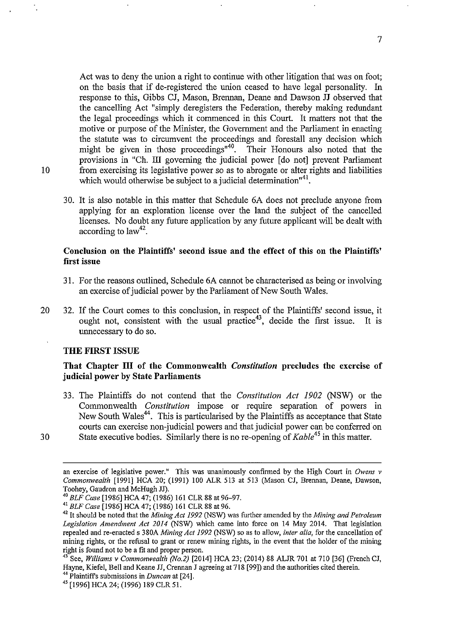Act was to deny the union a right to continue with other litigation that was on foot; on the basis that if de-registered the union ceased to have legal personality. In response to this, Gibbs CJ, Mason, Brennan, Deane and Dawson **JJ** observed that the cancelling Act "simply deregisters the Federation, thereby making redundant the legal proceedings which it commenced in this Court. It matters not that the motive or purpose of the Minister, the Government and the Parliament in enacting the statute was to circumvent the proceedings and forestall any decision which might be given in those proceedings<sup>"40</sup>. Their Honours also noted that the provisions in "Ch. III governing the judicial power [do not] prevent Parliament 10 from exercising its legislative power so as to abrogate or alter rights and liabilities which would otherwise be subject to a judicial determination<sup> $n41$ </sup>.

30. It is also notable in this matter that Schedule 6A does not preclude anyone from applying for an exploration license over the land the subject of the cancelled licenses. No doubt any future application by any future applicant will be dealt with according to  $law<sup>42</sup>$ .

# **Conclusion on the Plaintiffs' second issue and the effect of this on the Plaintiffs' first issue**

- 31. For the reasons outlined, Schedule 6A cannot be characterised as being or involving an exercise of judicial power by the Parliament of New South Wales.
- 20 32. If the Court comes to this conclusion, in respect of the Plaintiffs' second issue, it ought not, consistent with the usual practice<sup>43</sup>, decide the first issue. It is unnecessary to do so.

### **THE FIRST ISSUE**

# **That Chapter III of the Commonwealth** *Constitution* **precludes the exercise of judicial power by State Parliaments**

33. The Plaintiffs do not contend that the *Constitution Act 1902* (NSW) or the Commonwealth *Constitution* impose or require separation of powers in New South Wales<sup>44</sup>. This is particularised by the Plaintiffs as acceptance that State courts can exercise non-judicial powers and that judicial power can be conferred on 30 State executive bodies. Similarly there is no re-opening of *Kable<sup>45</sup>*in this matter.

an exercise of legislative power." This was unanimously confirmed by the High Court in *Owens v Commonwealth* [19911 HCA 20; (1991) 100 ALR 513 at 513 (Mason CJ, Brennan, Deane, Dawson, Toohey, Gaudron and McHugh JJ).<br><sup>40</sup> BLF Case [1986] HCA 47, (1986) 161 CLR 88 at 96-97.

<sup>&</sup>lt;sup>41</sup> BLF Case [1986] HCA 47; (1986) 161 CLR 88 at 96.<br><sup>42</sup> It should be noted that the *Mining Act 1992* (NSW) was further amended by the *Mining and Petroleum Legislation Amendment Act 2014* (NSW) which came into force on 14 May 2014. That legislation repealed and re-enacted s 380A *Mining Act 1992* (NSW) so as to allow, *inter alia,* for the cancellation of mining rights, or the refusal to grant or renew mining rights, in the event that the holder of the mining right is found not to be a fit and proper person.

<sup>&</sup>lt;sup>43</sup> See, *Williams v Commonwealth (No.2)* [2014] HCA 23; (2014) 88 ALJR 701 at 710 [36] (French CJ, Hayne, Kiefel, Bell and Keane JJ, Crennan J agreeing at 718 [99]) and the authorities cited therein.<br><sup>44</sup> Plaintiff's submissions in *Duncan* at [24].

<sup>&</sup>lt;sup>45</sup> [1996] HCA 24; (1996) 189 CLR 51.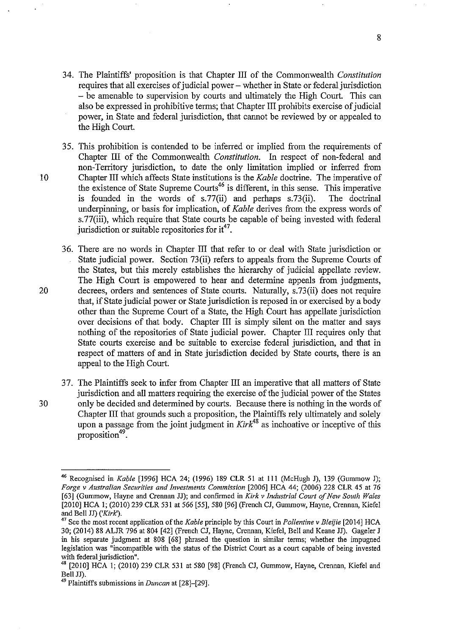- 34. The Plaintiffs' proposition is that Chapter III of the Commonwealth *Constitution*  requires that all exercises of judicial power- whether in State or federal jurisdiction - be amenable to supervision by courts and ultimately the High Court. This can also be expressed in prohibitive terms; that Chapter III prohibits exercise of judicial power, in State and federal jurisdiction, that cannot be reviewed by or appealed to the High Court.
- 35. This prohibition is contended to be inferred or implied from the requirements of Chapter III of the Commonwealth *Constitution.* In respect of non-federal and non-Territory jurisdiction, to date the only limitation implied or inferred from 10 Chapter III which affects State institutions is the *Kable* doctrine. The imperative of the existence of State Supreme Courts<sup>46</sup> is different, in this sense. This imperative is founded in the words of s.77(ii) and perhaps s.73(ii). The doctrinal underpinning, or basis for implication, of *Kable* derives from the express words of s.77(iii), which require that State courts be capable of being invested with federal jurisdiction or suitable repositories for  $it^{47}$ .
- 36. There are no words in Chapter III that refer to or deal with State jurisdiction or State judicial power. Section 73(ii) refers to appeals from the Supreme Courts of the States, but this merely establishes the hierarchy of judicial appellate review. The High Court is empowered to hear and determine appeals from judgments, 20 decrees, orders and sentences of State courts. Naturally, s.73(ii) does not require that, if State judicial power or State jurisdiction is reposed in or exercised by a body other than the Supreme Court of a State, the High Court has appellate jurisdiction over decisions of that body. Chapter III is simply silent on the matter and says nothing of the repositories of State judicial power. Chapter III requires only that State courts exercise and be suitable to exercise federal jurisdiction, and that in respect of matters of and in State jurisdiction decided by State courts, there is an appeal to the High Court.
- 37. The Plaintiffs seek to infer from Chapter III an imperative that all matters of State jurisdiction and all matters requiring the exercise of the judicial power of the States 30 only be decided and determined by courts. Because there is nothing in the words of Chapter III that grounds such a proposition, the Plaintiffs rely ultimately and solely upon a passage from the joint judgment in *Kirk*<sup>48</sup> as inchoative or inceptive of this proposition<sup>49</sup>.

<sup>46</sup> Recognised in *Kable* [1996] HCA 24; (1996) 189 CLR 51 at Ill (McHugh J), 139 (Gummow J); *Forge v Australian Securities and Investments Commission* [2006] HCA 44; (2006) 228 CLR 45 at 76 [63] (Gummow, Hayne and Crennan JJ); and confmned in *Kirk v Industrial Court of New South Wales*  [2010] HCA I; (2010) 239 CLR 531 at 566 [55], 580 [96] (French CJ, Gummow, Hayne, Crennan, Kiefel and Bell JJ) *('Kirk').* 

<sup>47</sup> See the most recent application of the *Kable* principle by this Court in *Pollentine v Bleijie* [2014] HCA 30; (2014) 88 ALJR 796 at 804 [42] (French CJ, Hayne, Crennan, Kiefel, Bell and Keane JJ). Gageler J in his separate judgment at 808 [68] phrased the question in similar terms; whether the impugned legislation was "incompatible with the status of the District Court as a court capable of being invested with federal jurisdiction".

<sup>&</sup>lt;sup>48</sup> [2010] HCA 1; (2010) 239 CLR 531 at 580 [98] (French CJ, Gummow, Hayne, Crennan, Kiefel and Bell JJ).

<sup>49</sup> Plaintiffs submissions in *Duncan* at [28]-[29].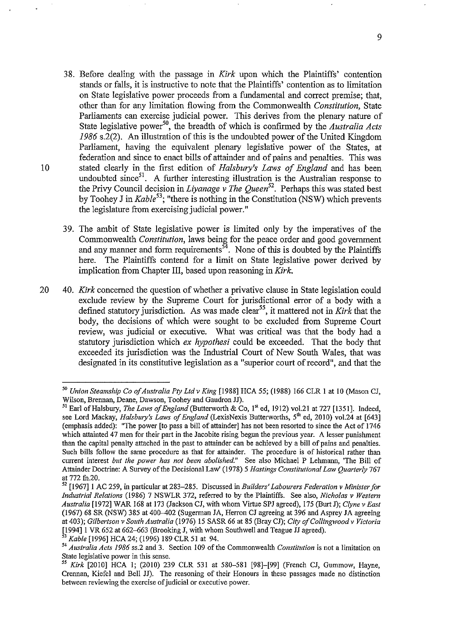- 38. Before dealing with the passage in *Kirk* upon which the Plaintiffs' contention stands or falls, it is instructive to note that the Plaintiffs' contention as to limitation on State legislative power proceeds from a fundamental and correct premise; that, other than for any limitation flowing from the Commonwealth *Constitution,* State Parliaments can exercise judicial power. This derives from the plenary nature of State legislative power<sup>50</sup>, the breadth of which is confirmed by the *Australia Acts 1986* s.2(2). An illustration of this is the undoubted power of the United Kingdom Parliament, having the equivalent plenary legislative power of the States, at federation and since to enact bills of attainder and of pains and penalties. This was 10 stated clearly in the first edition of *Halsbury's Laws of England* and has been undoubted since $51$ . A further interesting illustration is the Australian response to the Privy Council decision in *Liyanage v The Queen52•* Perhaps this was stated best by Toohey J in *Kable<sup>53</sup> ;* "there is nothing in the Constitution (NSW) which prevents the legislature from exercising judicial power."
	- 39. The ambit of State legislative power is limited only by the imperatives of the Commonwealth *Constitution,* laws being for the peace order and good government and any manner and form requirements<sup>54</sup>. None of this is doubted by the Plaintiffs here. The Plaintiffs contend for a limit on State legislative power derived by implication from Chapter III, based upon reasoning in *Kirk.*
- 20 40. *Kirk* concerned the question of whether a privative clause in State legislation could exclude review by the Supreme Court for jurisdictional error of a body with a defined statutory jurisdiction. As was made clear<sup>55</sup>, it mattered not in *Kirk* that the body, the decisions of which were sought to be excluded from Supreme Court review, was judicial or executive. What was critical was that the body had a statutory jurisdiction which *ex hypothesi* could be exceeded. That the body that exceeded its jurisdiction was the Industrial Court of New South Wales, that was designated in its constitutive legislation as a "superior court of record", and that the

*<sup>50</sup> Union Steamship Co of Australia Pty Ltd v King* [1988] HCA 55; (1988) 166 CLR I at 10 (Mason CJ, Wilson, Brennan, Deane, Dawson, Toohey and Gaudron JJ).

<sup>&</sup>lt;sup>51</sup> Earl of Halsbury, *The Laws of England* (Butterworth & Co, 1<sup>st</sup> ed, 1912) vol.21 at 727 [1351]. Indeed, see Lord Mackay, *Halsbury's Laws of England* (LexisNexis Butterworths, 5<sup>th</sup> ed, 2010) vol.24 at [643] (emphasis added): "The power [to pass a bill of attainder] has not been resorted to since the Act of 1746 which attainted 47 men for their part in the Jacobite rising begun the previous year. A lesser punishment than the capital penalty attached in the past to attainder can be achieved by a bill of pains and penalties. Such bills follow the same procedure as that for attainder. The procedure is of historical rather than current interest *but the power has not been abolished."* See also Michael P Lehmann, 'The Bill of Attainder Doctrine: A Survey ofthe Decisional Law' (1978) *5 Hastings Constitutional Law Quarterly* 767 at 772 fn.20.

<sup>52 [1967]1</sup> AC 259, in particular at 283-285. Discussed in *Builders' Labourers Federation v Minister for Industrial Relations* (1986) 7 NSWLR 372, referred to by the Plaintiffs. See also, *Nicholas v Western Australia* [1972] WAR 168 at 173 (Jackson CJ, with whom Virtue SPJ agreed), 175 (Burt J); *Clyne v East*  (1967) 68 SR (NSW) 385 at 400-402 (Sugerman JA, Herron CJ agreeing at 396 and Asprey JA agreeing at 403); *Gilbertson v South Australia* (1976) 15 SASR 66 at 85 (Bray CJ); *City ofCollingwoodv Victoria*   $[1994]$  1 VR 652 at 662–663 (Brooking J, with whom Southwell and Teague JJ agreed).

<sup>&</sup>lt;sup>53</sup> Kable [1996] HCA 24; (1996) 189 CLR 51 at 94.<br><sup>54</sup> *Australia Acts 1986* ss.2 and 3. Section 109 of the Commonwealth *Constitution* is not a limitation on State legislative power in this sense.

<sup>&</sup>lt;sup>55</sup> Kirk <sup>[2010]</sup> HCA 1; (2010) 239 CLR 531 at 580-581 [98]-[99] (French CJ, Gummow, Hayne, Crennan, Kiefel and Bell JJ). The reasoning of their Honours in these passages made no distinction **between reviewing the exercise of judicial or executive power.**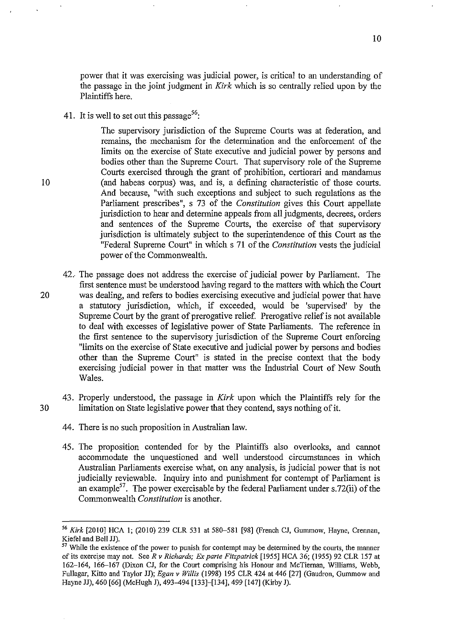power that it was exercising was judicial power, is critical to an understanding of the passage in the joint judgment in *Kirk* which is so centrally relied upon by the Plaintiffs here.

41. It is well to set out this passage<sup>56</sup>:

The supervisory jurisdiction of the Supreme Courts was at federation, and remains, the mechanism for the determination and the enforcement of the limits on the exercise of State executive and judicial power by persons and bodies other than the Supreme Court. That supervisory role of the Supreme Courts exercised through the grant of prohibition, certiorari and mandamus (and habeas corpus) was, and is, a defming characteristic of those courts. And because, "with such exceptions and subject to such regulations as the Parliament prescribes", s 73 of the *Constitution* gives this Court appellate jurisdiction to hear and determine appeals from all judgments, decrees, orders and sentences of the Supreme Courts, the exercise of that supervisory jurisdiction is ultimately subject to the superintendence of this Court as the "Federal Supreme Court" in which s 71 of the *Constitution* vests the judicial power of the Commonwealth.

- 42. The passage does not address the exercise of judicial power by Parliament. The first sentence must be understood having regard to the matters with which the Court 20 was dealing, and refers to bodies exercising executive and judicial power that have a statutory jurisdiction, which, if exceeded, would be 'supervised' by the Supreme Court by the grant of prerogative relief. Prerogative relief is not available to deal with excesses of legislative power of State Parliaments. The reference in the first sentence to the supervisory jurisdiction of the Supreme Court enforcing "limits on the exercise of State executive and judicial power by persons and bodies other than the Supreme Court" is stated in the precise context that the body exercising judicial power in that matter was the Industrial Court of New South Wales.
- 43. Properly understood, the passage in *Kirk* upon which the Plaintiffs rely for the 30 limitation on State legislative power that they contend, says nothing of it.
	- 44. There is no such proposition in Australian law.
	- 45. The proposition contended for by the Plaintiffs also overlooks, and cannot accommodate the unquestioned and well understood circumstances in which Australian Parliaments exercise what, on any analysis, is judicial power that is not judicially reviewable. Inquiry into and punishment for contempt of Parliament is an example<sup>57</sup>. The power exercisable by the federal Parliament under s.72(ii) of the Commonwealth *Constitution* is another.

<sup>&</sup>lt;sup>56</sup> Kirk [2010] HCA 1; (2010) 239 CLR 531 at 580-581 [98] (French CJ, Gummow, Hayne, Crennan, Kiefel and Bell JJ).

<sup>&</sup>lt;sup>57</sup> While the existence of the power to punish for contempt may be determined by the courts, the manner of its exercise may not. SeeR *v Richards; Ex parte Fitzpatrick* [1955] HCA 36; (1955) 92 CLR 157 at 162-164, 166-167 (Dixon CJ, for the Court comprising his Honour and McTiernan, Williams, Webb, Fullagar, Kitto and Taylor JJ); *Egan v Willis* (1998) 195 CLR 424 at 446 [27] (Gaudron, Gumrnow and Hayne JJ), 460 [66] (McHugh J), 493-494 [133]-[134], 499 [147] (Kirby J).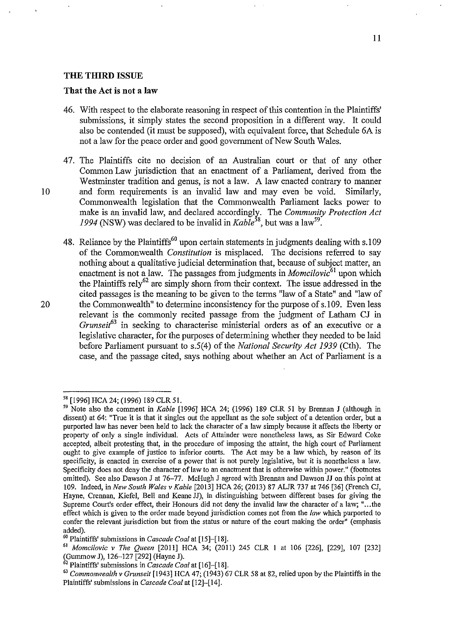#### **THE THIRD ISSUE**

### **That the Act is not a law**

- 46. With respect to the elaborate reasoning in respect of this contention in the Plaintiffs' submissions, it simply states the second proposition in a different way. It could also be contended (it must be supposed), with equivalent force, that Schedule 6A is not a law for the peace order and good government of New South Wales.
- 4 7. The Plaintiffs cite no decision of an Australian court or that of any other Common Law jurisdiction that an enactment of a Parliament, derived from the Westminster tradition and genus, is not a law. A law enacted contrary to manner 10 and form requirements is an invalid law and may even be void. Similarly, Commonwealth legislation that the Commonwealth Parliament lacks power to make is an invalid law, and declared accordingly. The *Community Protection Act* 1994 (NSW) was declared to be invalid in *Kable*<sup>58</sup>, but was a law<sup>59</sup>.
- 48. Reliance by the Plaintiffs<sup>60</sup> upon certain statements in judgments dealing with s.109 of the Commonwealth *Constitution* is misplaced. The decisions referred to say nothing about a qualitative judicial determination that, because of subject matter, an enactment is not a law. The passages from judgments in *Momcilovic*<sup>61</sup> upon which the Plaintiffs rely<sup>62</sup> are simply shorn from their context. The issue addressed in the cited passages is the meaning to be given to the terms "law of a State" and "law of 20 the Commonwealth" to determine inconsistency for the purpose of s.109. Even less relevant is the commonly recited passage from the judgment of Latham CJ in *Grunseit63* in seeking to characterise ministerial orders as of an executive or a legislative character, for the purposes of determining whether they needed to be laid before Parliament pursuant to s.5(4) of the *National Security Act 1939* (Cth). The case, and the passage cited, says nothing about whether an Act of Parliament is a

<sup>58 [1996]</sup> HCA24; (1996) 189 CLR51.

<sup>59</sup> Note also the comment in *Kable* [1996] HCA 24; (1996) 189 CLR 51 by Brennan J (although in dissent) at 64: "True it is that it singles out the appellant as the sole subject of a detention order, but a purported law has never been held to lack the character of a law simply because it affects the liberty or property of only a single individual. Acts of Attainder were nonetheless laws, as Sir Edward Coke accepted, albeit protesting that, in the procedure of imposing the attaint, the high court of Parliament ought to give example of justice to inferior courts. The Act may be a law which, by reason of its specificity, is enacted in exercise of a power that is not purely legislative, but it is nonetheless a law. Specificity does not deny the character of law to an enactment that is otherwise within power." (footnotes omitted). See also Dawson J at 76-77. McHugh J agreed with Brennan and Dawson JJ on this point at 109. Indeed, in *New South Wales v Kable* [2013] HCA 26; (2013) 87 ALJR 737 at 746 [36] (French CJ, Hayne, Crennan, Kiefel, Bell and Keane JJ), in distinguishing between different bases for giving the Supreme Court's order effect, their Honours did not deny the invalid law the character of a law; " ... the effect which is given to the order made beyond jurisdiction comes not from the *law* which purported to confer the relevant jurisdiction but from the status or nature of the court making the order" (emphasis added).<br><sup>60</sup> Plaintiffs' submissions in *Cascade Coal* at [15]-[18].

<sup>&</sup>lt;sup>61</sup> Momcilovic v The Queen <sup>[2011]</sup> HCA 34; (2011) 245 CLR 1 at 106 <sup>[226]</sup>, <sup>[229]</sup>, 107 <sup>[232]</sup> (Gummow J), 126-127 [292] (Hayne J).<br><sup>62</sup> Plaintiffs' submissions in *Cascade Coal* at  $[16]$ - $[18]$ .

<sup>&</sup>lt;sup>63</sup> Commonwealth v Grunseit [1943] HCA 47; (1943) 67 CLR 58 at 82, relied upon by the Plaintiffs in the Plaintiffs' submissions in *Cascade Coal* at [12]-[14].